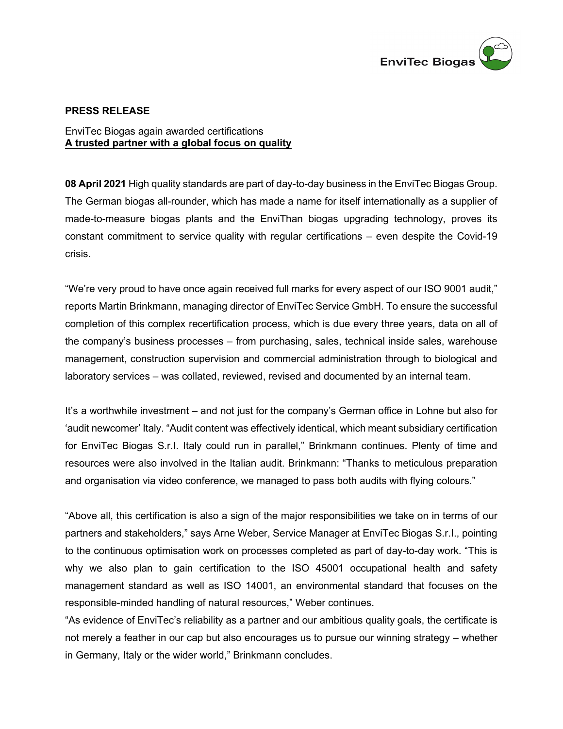

## **PRESS RELEASE**

## EnviTec Biogas again awarded certifications **A trusted partner with a global focus on quality**

**08 April 2021** High quality standards are part of day-to-day business in the EnviTec Biogas Group. The German biogas all-rounder, which has made a name for itself internationally as a supplier of made-to-measure biogas plants and the EnviThan biogas upgrading technology, proves its constant commitment to service quality with regular certifications – even despite the Covid-19 crisis.

"We're very proud to have once again received full marks for every aspect of our ISO 9001 audit," reports Martin Brinkmann, managing director of EnviTec Service GmbH. To ensure the successful completion of this complex recertification process, which is due every three years, data on all of the company's business processes – from purchasing, sales, technical inside sales, warehouse management, construction supervision and commercial administration through to biological and laboratory services – was collated, reviewed, revised and documented by an internal team.

It's a worthwhile investment – and not just for the company's German office in Lohne but also for 'audit newcomer' Italy. "Audit content was effectively identical, which meant subsidiary certification for EnviTec Biogas S.r.I. Italy could run in parallel," Brinkmann continues. Plenty of time and resources were also involved in the Italian audit. Brinkmann: "Thanks to meticulous preparation and organisation via video conference, we managed to pass both audits with flying colours."

"Above all, this certification is also a sign of the major responsibilities we take on in terms of our partners and stakeholders," says Arne Weber, Service Manager at EnviTec Biogas S.r.I., pointing to the continuous optimisation work on processes completed as part of day-to-day work. "This is why we also plan to gain certification to the ISO 45001 occupational health and safety management standard as well as ISO 14001, an environmental standard that focuses on the responsible-minded handling of natural resources," Weber continues.

"As evidence of EnviTec's reliability as a partner and our ambitious quality goals, the certificate is not merely a feather in our cap but also encourages us to pursue our winning strategy – whether in Germany, Italy or the wider world," Brinkmann concludes.